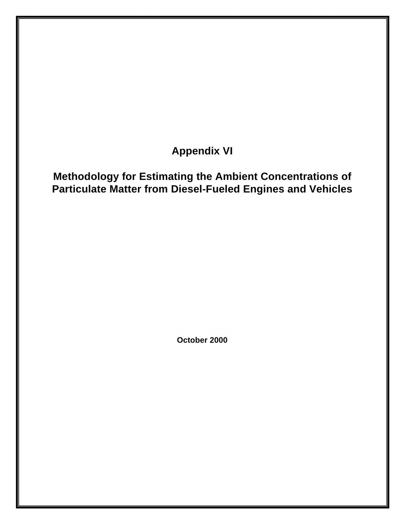# **Appendix VI**

## **Methodology for Estimating the Ambient Concentrations of Particulate Matter from Diesel-Fueled Engines and Vehicles**

**October 2000**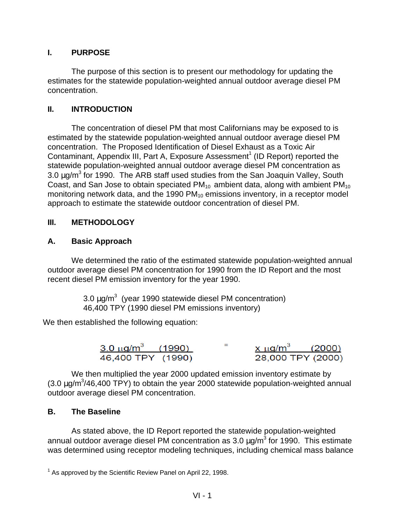#### **I. PURPOSE**

The purpose of this section is to present our methodology for updating the estimates for the statewide population-weighted annual outdoor average diesel PM concentration.

#### **II. INTRODUCTION**

The concentration of diesel PM that most Californians may be exposed to is estimated by the statewide population-weighted annual outdoor average diesel PM concentration. The Proposed Identification of Diesel Exhaust as a Toxic Air Contaminant, Appendix III, Part A, Exposure Assessment<sup>1</sup> (ID Report) reported the statewide population-weighted annual outdoor average diesel PM concentration as 3.0  $\mu$ g/m<sup>3</sup> for 1990. The ARB staff used studies from the San Joaquin Valley, South Coast, and San Jose to obtain speciated  $PM_{10}$  ambient data, along with ambient  $PM_{10}$ monitoring network data, and the 1990  $PM_{10}$  emissions inventory, in a receptor model approach to estimate the statewide outdoor concentration of diesel PM.

#### **III. METHODOLOGY**

#### **A. Basic Approach**

We determined the ratio of the estimated statewide population-weighted annual outdoor average diesel PM concentration for 1990 from the ID Report and the most recent diesel PM emission inventory for the year 1990.

> 3.0  $\mu$ g/m<sup>3</sup> (year 1990 statewide diesel PM concentration) 46,400 TPY (1990 diesel PM emissions inventory)

We then established the following equation:

| $\frac{3.0 \text{ }\mu\text{g/m}^3}{4.990}$ (1990) |  | $x \mu g/m^3$     | (2000) |
|----------------------------------------------------|--|-------------------|--------|
| 46,400 TPY (1990)                                  |  | 28,000 TPY (2000) |        |

We then multiplied the year 2000 updated emission inventory estimate by  $(3.0 \,\mu g/m^3/46,400 \,\text{TPY})$  to obtain the year 2000 statewide population-weighted annual outdoor average diesel PM concentration.

#### **B. The Baseline**

As stated above, the ID Report reported the statewide population-weighted annual outdoor average diesel PM concentration as 3.0  $\mu$ g/m<sup>3</sup> for 1990. This estimate was determined using receptor modeling techniques, including chemical mass balance

 $1$  As approved by the Scientific Review Panel on April 22, 1998.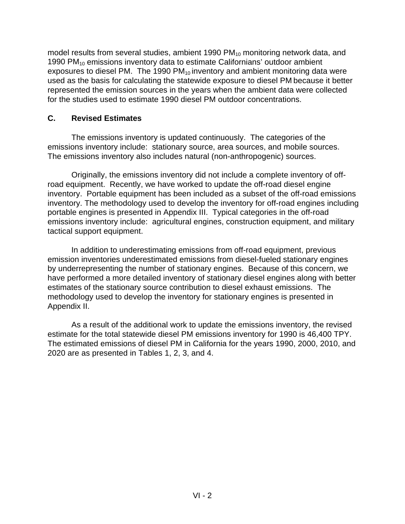model results from several studies, ambient 1990  $PM_{10}$  monitoring network data, and 1990 PM10 emissions inventory data to estimate Californians' outdoor ambient exposures to diesel PM. The 1990 PM $_{10}$  inventory and ambient monitoring data were used as the basis for calculating the statewide exposure to diesel PM because it better represented the emission sources in the years when the ambient data were collected for the studies used to estimate 1990 diesel PM outdoor concentrations.

#### **C. Revised Estimates**

The emissions inventory is updated continuously. The categories of the emissions inventory include: stationary source, area sources, and mobile sources. The emissions inventory also includes natural (non-anthropogenic) sources.

Originally, the emissions inventory did not include a complete inventory of offroad equipment. Recently, we have worked to update the off-road diesel engine inventory. Portable equipment has been included as a subset of the off-road emissions inventory. The methodology used to develop the inventory for off-road engines including portable engines is presented in Appendix III. Typical categories in the off-road emissions inventory include: agricultural engines, construction equipment, and military tactical support equipment.

In addition to underestimating emissions from off-road equipment, previous emission inventories underestimated emissions from diesel-fueled stationary engines by underrepresenting the number of stationary engines. Because of this concern, we have performed a more detailed inventory of stationary diesel engines along with better estimates of the stationary source contribution to diesel exhaust emissions. The methodology used to develop the inventory for stationary engines is presented in Appendix II.

As a result of the additional work to update the emissions inventory, the revised estimate for the total statewide diesel PM emissions inventory for 1990 is 46,400 TPY. The estimated emissions of diesel PM in California for the years 1990, 2000, 2010, and 2020 are as presented in Tables 1, 2, 3, and 4.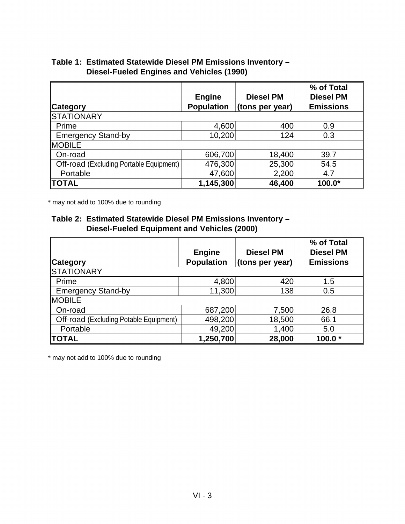#### **Table 1: Estimated Statewide Diesel PM Emissions Inventory – Diesel-Fueled Engines and Vehicles (1990)**

| ∥Category                                      | <b>Engine</b><br><b>Population</b> | <b>Diesel PM</b><br>(tons per year) | % of Total<br><b>Diesel PM</b><br><b>Emissions</b> |
|------------------------------------------------|------------------------------------|-------------------------------------|----------------------------------------------------|
| <b>STATIONARY</b>                              |                                    |                                     |                                                    |
| Prime                                          | 4,600                              | 400                                 | 0.9                                                |
| <b>Emergency Stand-by</b>                      | 10,200                             | 124                                 | 0.3                                                |
| <b>MOBILE</b>                                  |                                    |                                     |                                                    |
| On-road                                        | 606,700                            | 18,400                              | 39.7                                               |
| <b>Off-road (Excluding Portable Equipment)</b> | 476,300                            | 25,300                              | 54.5                                               |
| Portable                                       | 47,600                             | 2,200                               | 4.7                                                |
| <b>TOTAL</b>                                   | 1,145,300                          | 46,400                              | $100.0*$                                           |

\* may not add to 100% due to rounding

#### **Table 2: Estimated Statewide Diesel PM Emissions Inventory – Diesel-Fueled Equipment and Vehicles (2000)**

|                                               | <b>Engine</b>     | <b>Diesel PM</b> | % of Total<br><b>Diesel PM</b> |
|-----------------------------------------------|-------------------|------------------|--------------------------------|
| <b>Category</b>                               | <b>Population</b> | (tons per year)  | <b>Emissions</b>               |
| <b>STATIONARY</b>                             |                   |                  |                                |
| Prime                                         | 4,800             | 420              | 1.5                            |
| <b>Emergency Stand-by</b>                     | 11,300            | 138              | 0.5                            |
| <b>IMOBILE</b>                                |                   |                  |                                |
| On-road                                       | 687,200           | 7,500            | 26.8                           |
| <b>Off-road (Excluding Potable Equipment)</b> | 498,200           | 18,500           | 66.1                           |
| Portable                                      | 49,200            | 1,400            | 5.0                            |
| <b>TOTAL</b>                                  | 1,250,700         | 28,000           | 100.0                          |

\* may not add to 100% due to rounding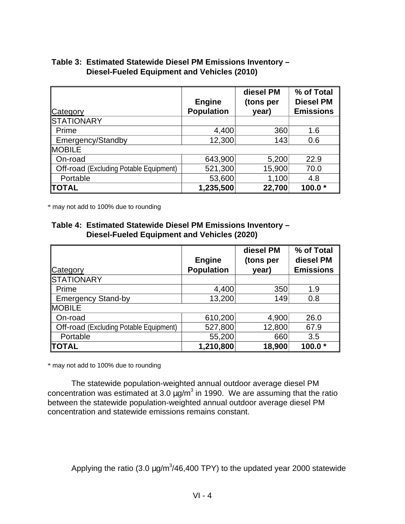| Table 3: Estimated Statewide Diesel PM Emissions Inventory - |
|--------------------------------------------------------------|
| <b>Diesel-Fueled Equipment and Vehicles (2010)</b>           |

|                                               | <b>Engine</b>     | diesel PM<br>(tons per | % of Total<br><b>Diesel PM</b> |
|-----------------------------------------------|-------------------|------------------------|--------------------------------|
| <b>Category</b>                               | <b>Population</b> | year)                  | <b>Emissions</b>               |
| <b>STATIONARY</b>                             |                   |                        |                                |
| Prime                                         | 4,400             | 360                    | 1.6                            |
| Emergency/Standby                             | 12,300            | 143                    | 0.6                            |
| <b>MOBILE</b>                                 |                   |                        |                                |
| On-road                                       | 643,900           | 5,200                  | 22.9                           |
| <b>Off-road</b> (Excluding Potable Equipment) | 521,300           | 15,900                 | 70.0                           |
| Portable                                      | 53,600            | 1,100                  | 4.8                            |
| <b>TOTAL</b>                                  | 1,235,500         | 22,700                 | 100.0 $*$                      |

\* may not add to 100% due to rounding

#### **Table 4: Estimated Statewide Diesel PM Emissions Inventory – Diesel-Fueled Equipment and Vehicles (2020)**

|                                               | <b>Engine</b>     | diesel PM<br>(tons per | % of Total<br>diesel PM |
|-----------------------------------------------|-------------------|------------------------|-------------------------|
| <b>Category</b>                               | <b>Population</b> | year)                  | <b>Emissions</b>        |
| <b>STATIONARY</b>                             |                   |                        |                         |
| Prime                                         | 4,400             | 350                    | 1.9                     |
| <b>Emergency Stand-by</b>                     | 13,200            | 149                    | 0.8                     |
| <b>MOBILE</b>                                 |                   |                        |                         |
| On-road                                       | 610,200           | 4,900                  | 26.0                    |
| <b>Off-road</b> (Excluding Potable Equipment) | 527,800           | 12,800                 | 67.9                    |
| Portable                                      | 55,200            | 660                    | 3.5                     |
| <b>TOTAL</b>                                  | 1,210,800         | 18,900                 | 100.0 $*$               |

\* may not add to 100% due to rounding

The statewide population-weighted annual outdoor average diesel PM concentration was estimated at 3.0  $\mu$ g/m<sup>3</sup> in 1990. We are assuming that the ratio between the statewide population-weighted annual outdoor average diesel PM concentration and statewide emissions remains constant.

Applying the ratio (3.0  $\mu$ g/m<sup>3</sup>/46,400 TPY) to the updated year 2000 statewide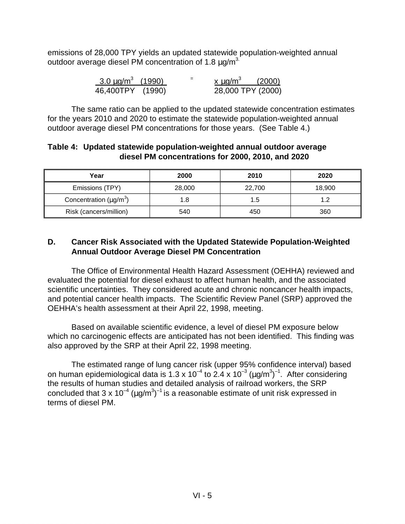emissions of 28,000 TPY yields an updated statewide population-weighted annual outdoor average diesel PM concentration of 1.8  $\mu$ g/m<sup>3.</sup>

| $3.0 \,\mathrm{\upmu g/m}^3$ (1990) | $=$ | $x \mu q/m^3$ | (2000)            |
|-------------------------------------|-----|---------------|-------------------|
| 46,400TPY (1990)                    |     |               | 28,000 TPY (2000) |

The same ratio can be applied to the updated statewide concentration estimates for the years 2010 and 2020 to estimate the statewide population-weighted annual outdoor average diesel PM concentrations for those years. (See Table 4.)

#### **Table 4: Updated statewide population-weighted annual outdoor average diesel PM concentrations for 2000, 2010, and 2020**

| Year                                     | 2000   | 2010   | 2020   |
|------------------------------------------|--------|--------|--------|
| Emissions (TPY)                          | 28,000 | 22,700 | 18,900 |
| Concentration ( $\mu$ g/m <sup>3</sup> ) | 1.8    | 1.5    | 1 2    |
| Risk (cancers/million)                   | 540    | 450    | 360    |

#### **D. Cancer Risk Associated with the Updated Statewide Population-Weighted Annual Outdoor Average Diesel PM Concentration**

The Office of Environmental Health Hazard Assessment (OEHHA) reviewed and evaluated the potential for diesel exhaust to affect human health, and the associated scientific uncertainties. They considered acute and chronic noncancer health impacts, and potential cancer health impacts. The Scientific Review Panel (SRP) approved the OEHHA's health assessment at their April 22, 1998, meeting.

Based on available scientific evidence, a level of diesel PM exposure below which no carcinogenic effects are anticipated has not been identified. This finding was also approved by the SRP at their April 22, 1998 meeting.

The estimated range of lung cancer risk (upper 95% confidence interval) based on human epidemiological data is 1.3 x 10<sup>-4</sup> to 2.4 x 10<sup>-3</sup> (µg/m<sup>3</sup>)<sup>-1</sup>. After considering the results of human studies and detailed analysis of railroad workers, the SRP concluded that 3 x 10<sup>-4</sup> (µg/m<sup>3</sup>)<sup>-1</sup> is a reasonable estimate of unit risk expressed in terms of diesel PM.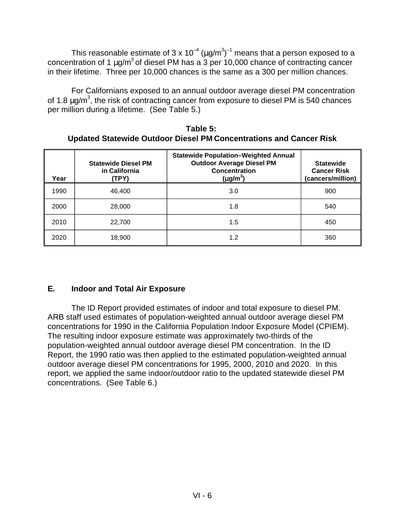This reasonable estimate of 3 x 10<sup>-4</sup> ( $\mu$ g/m<sup>3</sup>)<sup>-1</sup> means that a person exposed to a concentration of 1  $\mu q/m^3$  of diesel PM has a 3 per 10,000 chance of contracting cancer in their lifetime. Three per 10,000 chances is the same as a 300 per million chances.

For Californians exposed to an annual outdoor average diesel PM concentration of 1.8  $\mu$ g/m<sup>3</sup>, the risk of contracting cancer from exposure to diesel PM is 540 chances per million during a lifetime. (See Table 5.)

**Table 5: Updated Statewide Outdoor Diesel PM Concentrations and Cancer Risk** 

| Year | <b>Statewide Diesel PM</b><br>in California<br>(TPY) | <b>Statewide Population-Weighted Annual</b><br><b>Outdoor Average Diesel PM</b><br>Concentration<br>$(\mu$ g/m <sup>3</sup> ) | <b>Statewide</b><br><b>Cancer Risk</b><br>(cancers/million) |
|------|------------------------------------------------------|-------------------------------------------------------------------------------------------------------------------------------|-------------------------------------------------------------|
| 1990 | 46,400                                               | 3.0                                                                                                                           | 900                                                         |
| 2000 | 28,000                                               | 1.8                                                                                                                           | 540                                                         |
| 2010 | 22,700                                               | 1.5                                                                                                                           | 450                                                         |
| 2020 | 18,900                                               | 1.2                                                                                                                           | 360                                                         |

### **E. Indoor and Total Air Exposure**

The ID Report provided estimates of indoor and total exposure to diesel PM. ARB staff used estimates of population-weighted annual outdoor average diesel PM concentrations for 1990 in the California Population Indoor Exposure Model (CPIEM). The resulting indoor exposure estimate was approximately two-thirds of the population-weighted annual outdoor average diesel PM concentration. In the ID Report, the 1990 ratio was then applied to the estimated population-weighted annual outdoor average diesel PM concentrations for 1995, 2000, 2010 and 2020. In this report, we applied the same indoor/outdoor ratio to the updated statewide diesel PM concentrations. (See Table 6.)